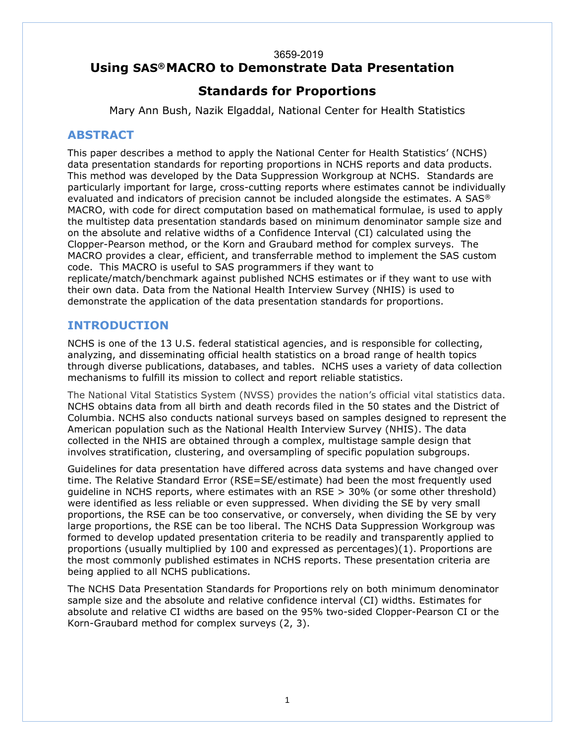#### 3659-2019 **Using SAS®MACRO to Demonstrate Data Presentation**

# **Standards for Proportions**

Mary Ann Bush, Nazik Elgaddal, National Center for Health Statistics

## **ABSTRACT**

This paper describes a method to apply the National Center for Health Statistics' (NCHS) data presentation standards for reporting proportions in NCHS reports and data products. This method was developed by the Data Suppression Workgroup at NCHS. Standards are particularly important for large, cross-cutting reports where estimates cannot be individually evaluated and indicators of precision cannot be included alongside the estimates. A SAS® MACRO, with code for direct computation based on mathematical formulae, is used to apply the multistep data presentation standards based on minimum denominator sample size and on the absolute and relative widths of a Confidence Interval (CI) calculated using the Clopper-Pearson method, or the Korn and Graubard method for complex surveys. The MACRO provides a clear, efficient, and transferrable method to implement the SAS custom code. This MACRO is useful to SAS programmers if they want to replicate/match/benchmark against published NCHS estimates or if they want to use with their own data. Data from the National Health Interview Survey (NHIS) is used to demonstrate the application of the data presentation standards for proportions.

### **INTRODUCTION**

NCHS is one of the 13 U.S. federal statistical agencies, and is responsible for collecting, analyzing, and disseminating official health statistics on a broad range of health topics through diverse publications, databases, and tables. NCHS uses a variety of data collection mechanisms to fulfill its mission to collect and report reliable statistics.

The National Vital Statistics System (NVSS) provides the nation's official vital statistics data. NCHS obtains data from all birth and death records filed in the 50 states and the District of Columbia. NCHS also conducts national surveys based on samples designed to represent the American population such as the National Health Interview Survey (NHIS). The data collected in the NHIS are obtained through a complex, multistage sample design that involves stratification, clustering, and oversampling of specific population subgroups.

Guidelines for data presentation have differed across data systems and have changed over time. The Relative Standard Error (RSE=SE/estimate) had been the most frequently used guideline in NCHS reports, where estimates with an RSE > 30% (or some other threshold) were identified as less reliable or even suppressed. When dividing the SE by very small proportions, the RSE can be too conservative, or conversely, when dividing the SE by very large proportions, the RSE can be too liberal. The NCHS Data Suppression Workgroup was formed to develop updated presentation criteria to be readily and transparently applied to proportions (usually multiplied by 100 and expressed as percentages)(1). Proportions are the most commonly published estimates in NCHS reports. These presentation criteria are being applied to all NCHS publications.

The NCHS Data Presentation Standards for Proportions rely on both minimum denominator sample size and the absolute and relative confidence interval (CI) widths. Estimates for absolute and relative CI widths are based on the 95% two-sided Clopper-Pearson CI or the Korn-Graubard method for complex surveys (2, 3).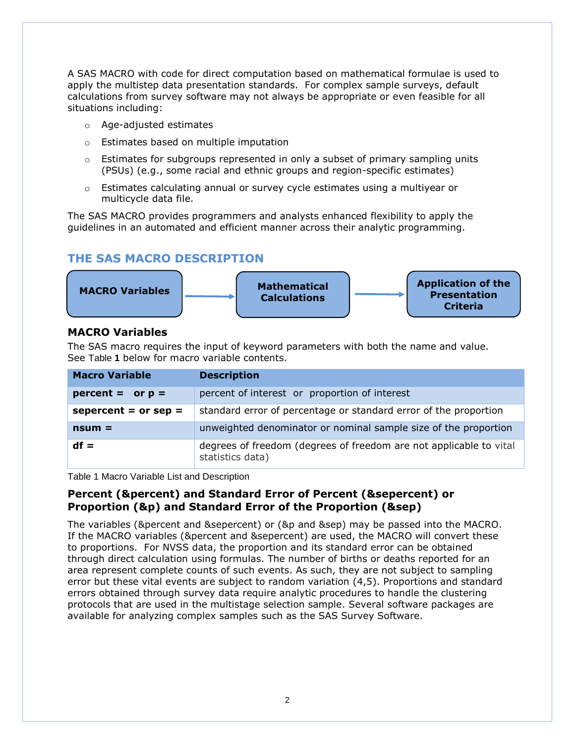A SAS MACRO with code for direct computation based on mathematical formulae is used to apply the multistep data presentation standards. For complex sample surveys, default calculations from survey software may not always be appropriate or even feasible for all situations including:

- o Age-adjusted estimates
- o Estimates based on multiple imputation
- $\circ$  Estimates for subgroups represented in only a subset of primary sampling units (PSUs) (e.g., some racial and ethnic groups and region-specific estimates)
- $\circ$  Estimates calculating annual or survey cycle estimates using a multiyear or multicycle data file.

The SAS MACRO provides programmers and analysts enhanced flexibility to apply the guidelines in an automated and efficient manner across their analytic programming.

# **THE SAS MACRO DESCRIPTION**



#### **MACRO Variables**

The SAS macro requires the input of keyword parameters with both the name and value. See [Table](#page-1-0) **1** below for macro variable contents.

| <b>Macro Variable</b>  | <b>Description</b>                                                                     |  |  |  |  |  |  |
|------------------------|----------------------------------------------------------------------------------------|--|--|--|--|--|--|
| $percent = or p =$     | percent of interest or proportion of interest                                          |  |  |  |  |  |  |
| sepercent = $or$ sep = | standard error of percentage or standard error of the proportion                       |  |  |  |  |  |  |
| $nsum =$               | unweighted denominator or nominal sample size of the proportion                        |  |  |  |  |  |  |
| $df =$                 | degrees of freedom (degrees of freedom are not applicable to vital<br>statistics data) |  |  |  |  |  |  |

<span id="page-1-0"></span>Table 1 Macro Variable List and Description

### **Percent (&percent) and Standard Error of Percent (&sepercent) or Proportion (&p) and Standard Error of the Proportion (&sep)**

The variables (&percent and &sepercent) or (&p and &sep) may be passed into the MACRO. If the MACRO variables (&percent and &sepercent) are used, the MACRO will convert these to proportions. For NVSS data, the proportion and its standard error can be obtained through direct calculation using formulas. The number of births or deaths reported for an area represent complete counts of such events. As such, they are not subject to sampling error but these vital events are subject to random variation (4,5). Proportions and standard errors obtained through survey data require analytic procedures to handle the clustering protocols that are used in the multistage selection sample. Several software packages are available for analyzing complex samples such as the SAS Survey Software.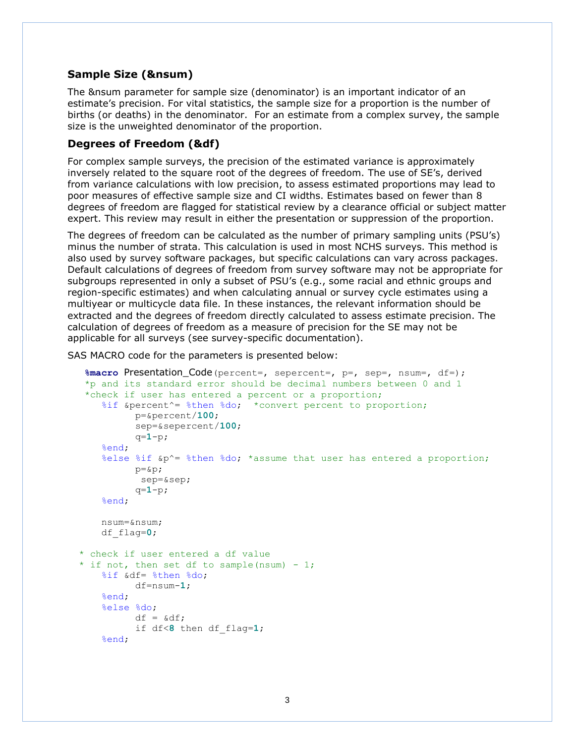#### **Sample Size (&nsum)**

The &nsum parameter for sample size (denominator) is an important indicator of an estimate's precision. For vital statistics, the sample size for a proportion is the number of births (or deaths) in the denominator. For an estimate from a complex survey, the sample size is the unweighted denominator of the proportion.

#### **Degrees of Freedom (&df)**

For complex sample surveys, the precision of the estimated variance is approximately inversely related to the square root of the degrees of freedom. The use of SE's, derived from variance calculations with low precision, to assess estimated proportions may lead to poor measures of effective sample size and CI widths. Estimates based on fewer than 8 degrees of freedom are flagged for statistical review by a clearance official or subject matter expert. This review may result in either the presentation or suppression of the proportion.

The degrees of freedom can be calculated as the number of primary sampling units (PSU's) minus the number of strata. This calculation is used in most NCHS surveys. This method is also used by survey software packages, but specific calculations can vary across packages. Default calculations of degrees of freedom from survey software may not be appropriate for subgroups represented in only a subset of PSU's (e.g., some racial and ethnic groups and region-specific estimates) and when calculating annual or survey cycle estimates using a multiyear or multicycle data file. In these instances, the relevant information should be extracted and the degrees of freedom directly calculated to assess estimate precision. The calculation of degrees of freedom as a measure of precision for the SE may not be applicable for all surveys (see survey-specific documentation).

SAS MACRO code for the parameters is presented below:

```
 %macro Presentation_Code(percent=, sepercent=, p=, sep=, nsum=, df=);
  *p and its standard error should be decimal numbers between 0 and 1
  *check if user has entered a percent or a proportion;
    %if &percent^= %then %do; *convert percent to proportion;
           p=&percent/100;
          sep=&sepercent/100;
           q=1-p;
     %end;
    %else %if &p^= %then %do; *assume that user has entered a proportion;
          p = \&p;sep=&sep;
           q=1-p;
     %end;
    nsum=&nsum;
    df_flag=0; 
 * check if user entered a df value 
* if not, then set df to sample(nsum) - 1;
    %if &df= %then %do; 
          df=nsum-1; 
    %end;
    %else %do;
          df = \&df:
           if df<8 then df_flag=1;
    %end;
```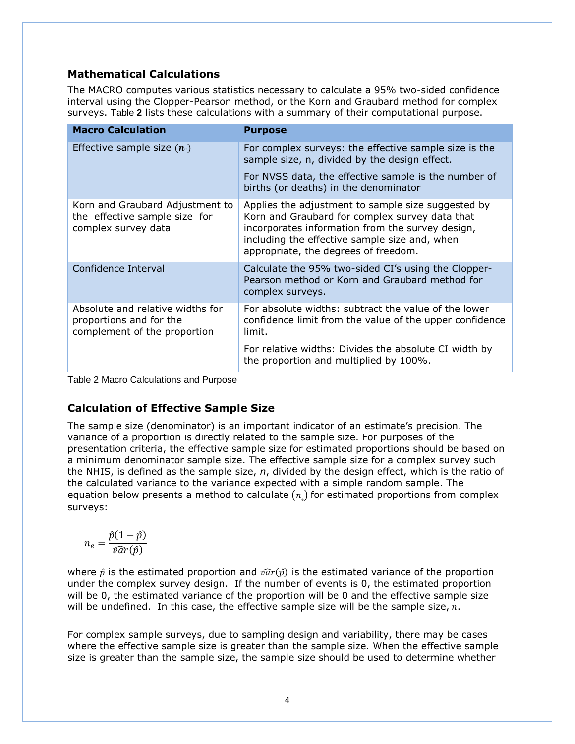# **Mathematical Calculations**

The MACRO computes various statistics necessary to calculate a 95% two-sided confidence interval using the Clopper-Pearson method, or the Korn and Graubard method for complex surveys. [Table](#page-3-0) **2** lists these calculations with a summary of their computational purpose.

| <b>Macro Calculation</b>                                                                    | <b>Purpose</b>                                                                                                                                                                                                                                    |  |  |  |  |
|---------------------------------------------------------------------------------------------|---------------------------------------------------------------------------------------------------------------------------------------------------------------------------------------------------------------------------------------------------|--|--|--|--|
| Effective sample size $(n_e)$                                                               | For complex surveys: the effective sample size is the<br>sample size, n, divided by the design effect.                                                                                                                                            |  |  |  |  |
|                                                                                             | For NVSS data, the effective sample is the number of<br>births (or deaths) in the denominator                                                                                                                                                     |  |  |  |  |
| Korn and Graubard Adjustment to<br>the effective sample size for<br>complex survey data     | Applies the adjustment to sample size suggested by<br>Korn and Graubard for complex survey data that<br>incorporates information from the survey design,<br>including the effective sample size and, when<br>appropriate, the degrees of freedom. |  |  |  |  |
| Confidence Interval                                                                         | Calculate the 95% two-sided CI's using the Clopper-<br>Pearson method or Korn and Graubard method for<br>complex surveys.                                                                                                                         |  |  |  |  |
| Absolute and relative widths for<br>proportions and for the<br>complement of the proportion | For absolute widths: subtract the value of the lower<br>confidence limit from the value of the upper confidence<br>limit.                                                                                                                         |  |  |  |  |
|                                                                                             | For relative widths: Divides the absolute CI width by<br>the proportion and multiplied by 100%.                                                                                                                                                   |  |  |  |  |

<span id="page-3-0"></span>Table 2 Macro Calculations and Purpose

# **Calculation of Effective Sample Size**

The sample size (denominator) is an important indicator of an estimate's precision. The variance of a proportion is directly related to the sample size. For purposes of the presentation criteria, the effective sample size for estimated proportions should be based on a minimum denominator sample size. The effective sample size for a complex survey such the NHIS, is defined as the sample size, *n*, divided by the design effect, which is the ratio of the calculated variance to the variance expected with a simple random sample. The equation below presents a method to calculate  $(n)$  for estimated proportions from complex surveys:

$$
n_e = \frac{\hat{p}(1-\hat{p})}{\hat{var}(\hat{p})}
$$

where  $\hat{p}$  is the estimated proportion and  $\hat{var}(\hat{p})$  is the estimated variance of the proportion under the complex survey design. If the number of events is 0, the estimated proportion will be 0, the estimated variance of the proportion will be 0 and the effective sample size will be undefined. In this case, the effective sample size will be the sample size,  $n$ .

For complex sample surveys, due to sampling design and variability, there may be cases where the effective sample size is greater than the sample size. When the effective sample size is greater than the sample size, the sample size should be used to determine whether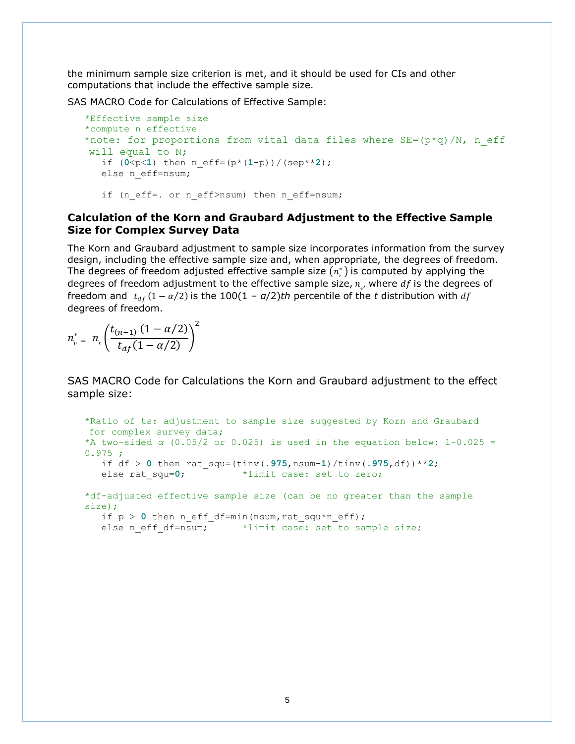the minimum sample size criterion is met, and it should be used for CIs and other computations that include the effective sample size.

SAS MACRO Code for Calculations of Effective Sample:

```
 *Effective sample size
 *compute n effective
*note: for proportions from vital data files where SE = (p * q) / N, n eff
will equal to N;
   if (0 < p < 1) then n eff=(p * (1-p)) / (sep * *2);
   else n_eff=nsum;
   if (n eff=. or n eff>nsum) then n eff=nsum;
```
#### **Calculation of the Korn and Graubard Adjustment to the Effective Sample Size for Complex Survey Data**

The Korn and Graubard adjustment to sample size incorporates information from the survey design, including the effective sample size and, when appropriate, the degrees of freedom. The degrees of freedom adjusted effective sample size  $(n_{\scriptscriptstyle \rm g}^*)$  is computed by applying the degrees of freedom adjustment to the effective sample size,  $n_{\scriptscriptstyle e}$ , where  $df$  is the degrees of freedom and  $t_{df}$  (1 –  $\alpha/2$ ) is the 100(1 –  $a/2$ )th percentile of the t distribution with df degrees of freedom.

$$
n_{\rm e}^* = n_{\rm e} \left( \frac{t_{(n-1)} \left( 1 - \alpha / 2 \right)}{t_{df} \left( 1 - \alpha / 2 \right)} \right)^2
$$

SAS MACRO Code for Calculations the Korn and Graubard adjustment to the effect sample size:

```
 *Ratio of ts: adjustment to sample size suggested by Korn and Graubard 
for complex survey data;
*A two-sided α (0.05/2 or 0.025) is used in the equation below: 1-0.025 =0.975;
  if df > 0 then rat_squ=(tinv(.975,nsum-1)/tinv(.975,df))**2;
  else rat squ=0; *limit case: set to zero;
*df-adjusted effective sample size (can be no greater than the sample 
size);
  if p > 0 then n eff df=min(nsum,rat squ*n eff);
  else n eff df=nsum; *limit case: set to sample size;
```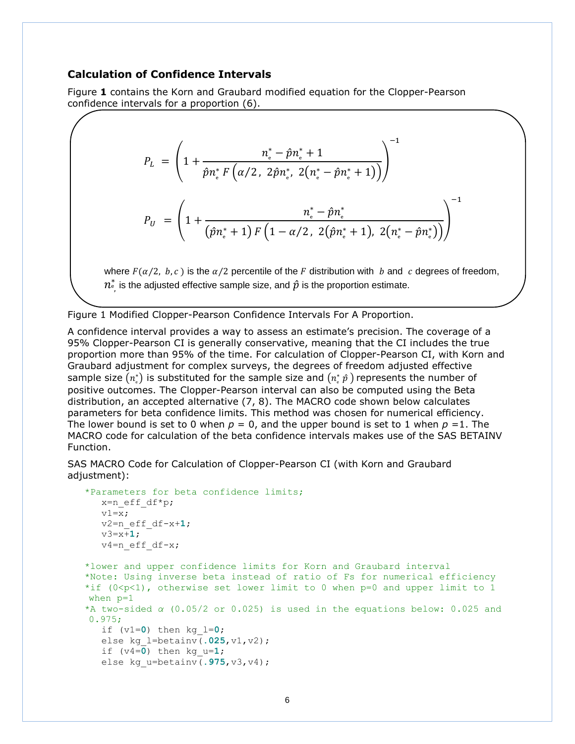#### **Calculation of Confidence Intervals**

[Figure](#page-5-0) **1** contains the Korn and Graubard modified equation for the Clopper-Pearson confidence intervals for a proportion (6).

$$
P_{L} = \left(1 + \frac{n_{\text{e}}^{*} - \hat{p}n_{\text{e}}^{*} + 1}{\hat{p}n_{\text{e}}^{*} F(\alpha/2, 2\hat{p}n_{\text{e}}^{*}, 2(n_{\text{e}}^{*} - \hat{p}n_{\text{e}}^{*} + 1))}\right)^{-1}
$$
  

$$
P_{U} = \left(1 + \frac{n_{\text{e}}^{*} - \hat{p}n_{\text{e}}^{*}}{(\hat{p}n_{\text{e}}^{*} + 1) F(1 - \alpha/2, 2(\hat{p}n_{\text{e}}^{*} + 1), 2(n_{\text{e}}^{*} - \hat{p}n_{\text{e}}^{*}))}\right)^{-1}
$$

where  $F(\alpha/2, b, c)$  is the  $\alpha/2$  percentile of the F distribution with b and c degrees of freedom,  $n_{\mathring{\circ}}^*$  is the adjusted effective sample size, and  $\hat{p}$  is the proportion estimate.

<span id="page-5-0"></span>Figure 1 Modified Clopper-Pearson Confidence Intervals For A Proportion.

A confidence interval provides a way to assess an estimate's precision. The coverage of a 95% Clopper-Pearson CI is generally conservative, meaning that the CI includes the true proportion more than 95% of the time. For calculation of Clopper-Pearson CI, with Korn and Graubard adjustment for complex surveys, the degrees of freedom adjusted effective sample size  $(n_{\scriptscriptstyle \rm e}^*)$  is substituted for the sample size and  $(n_{\scriptscriptstyle \rm e}^*\,p\,)$  represents the number of positive outcomes. The Clopper-Pearson interval can also be computed using the Beta distribution, an accepted alternative (7, 8). The MACRO code shown below calculates parameters for beta confidence limits. This method was chosen for numerical efficiency. The lower bound is set to 0 when  $p = 0$ , and the upper bound is set to 1 when  $p = 1$ . The MACRO code for calculation of the beta confidence intervals makes use of the SAS BETAINV Function.

SAS MACRO Code for Calculation of Clopper-Pearson CI (with Korn and Graubard adjustment):

```
 *Parameters for beta confidence limits;
    x=n_eff_df*p;
    v1=x;v2=n_eff_df-x+1;
    v3=x+1;
    v4=n eff df-x;
 *lower and upper confidence limits for Korn and Graubard interval 
 *Note: Using inverse beta instead of ratio of Fs for numerical efficiency
*if (0 < p < 1), otherwise set lower limit to 0 when p=0 and upper limit to 1
when p=1
 *A two-sided α (0.05/2 or 0.025) is used in the equations below: 0.025 and 
0.975;
    if (v1=0) then kg_l=0;
    else kg_l=betainv(.025,v1,v2);
    if (v4=0) then kg u=1;
    else kg_u=betainv(.975,v3,v4);
     v_{\text{max}} = \frac{1}{1 + \frac{1}{1 + \frac{1}{1 + \frac{1}{1 + \frac{1}{1 + \frac{1}{1 + \frac{1}{1 + \frac{1}{1 + \frac{1}{1 + \frac{1}{1 + \frac{1}{1 + \frac{1}{1 + \frac{1}{1 + \frac{1}{1 + \frac{1}{1 + \frac{1}{1 + \frac{1}{1 + \frac{1}{1 + \frac{1}{1 + \frac{1}{1 + \frac{1}{1 + \frac{1}{1 + \frac{1}{1 + \frac{1}{1 + \frac{1}{1 + \frac{1}{1 + \frac{1}{1 + \frac{1}{1 + \frac{1}{1 + \frac{1}{1 + \frac
```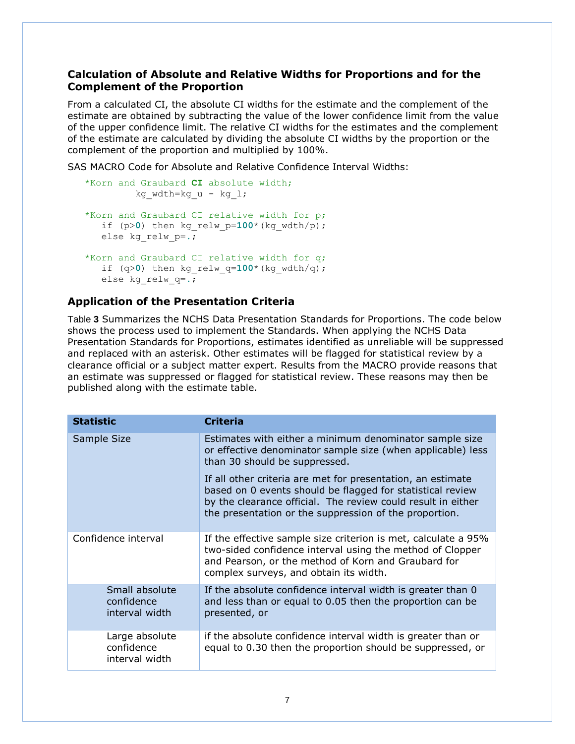#### **Calculation of Absolute and Relative Widths for Proportions and for the Complement of the Proportion**

From a calculated CI, the absolute CI widths for the estimate and the complement of the estimate are obtained by subtracting the value of the lower confidence limit from the value of the upper confidence limit. The relative CI widths for the estimates and the complement of the estimate are calculated by dividing the absolute CI widths by the proportion or the complement of the proportion and multiplied by 100%.

SAS MACRO Code for Absolute and Relative Confidence Interval Widths:

```
 *Korn and Graubard CI absolute width;
         kg wdth=kg u - kg l;
 *Korn and Graubard CI relative width for p;
  if (p>0) then kg relw p=100^* (kg wdth/p);
  else kg_relw_p=.;
 *Korn and Graubard CI relative width for q;
   if (q>0) then kg_relw_q=100*(kg_wdth/q); 
  else kg_relw_q=.;
```
### **Application of the Presentation Criteria**

[Table](#page-7-0) **3** Summarizes the NCHS Data Presentation Standards for Proportions. The code below shows the process used to implement the Standards. When applying the NCHS Data Presentation Standards for Proportions, estimates identified as unreliable will be suppressed and replaced with an asterisk. Other estimates will be flagged for statistical review by a clearance official or a subject matter expert. Results from the MACRO provide reasons that an estimate was suppressed or flagged for statistical review. These reasons may then be published along with the estimate table.

| <b>Statistic</b>                               | <b>Criteria</b>                                                                                                                                                                                                                                     |  |  |  |
|------------------------------------------------|-----------------------------------------------------------------------------------------------------------------------------------------------------------------------------------------------------------------------------------------------------|--|--|--|
| Sample Size                                    | Estimates with either a minimum denominator sample size<br>or effective denominator sample size (when applicable) less<br>than 30 should be suppressed.                                                                                             |  |  |  |
|                                                | If all other criteria are met for presentation, an estimate<br>based on 0 events should be flagged for statistical review<br>by the clearance official. The review could result in either<br>the presentation or the suppression of the proportion. |  |  |  |
| Confidence interval                            | If the effective sample size criterion is met, calculate a 95%<br>two-sided confidence interval using the method of Clopper<br>and Pearson, or the method of Korn and Graubard for<br>complex surveys, and obtain its width.                        |  |  |  |
| Small absolute<br>confidence<br>interval width | If the absolute confidence interval width is greater than 0<br>and less than or equal to 0.05 then the proportion can be<br>presented, or                                                                                                           |  |  |  |
| Large absolute<br>confidence<br>interval width | if the absolute confidence interval width is greater than or<br>equal to 0.30 then the proportion should be suppressed, or                                                                                                                          |  |  |  |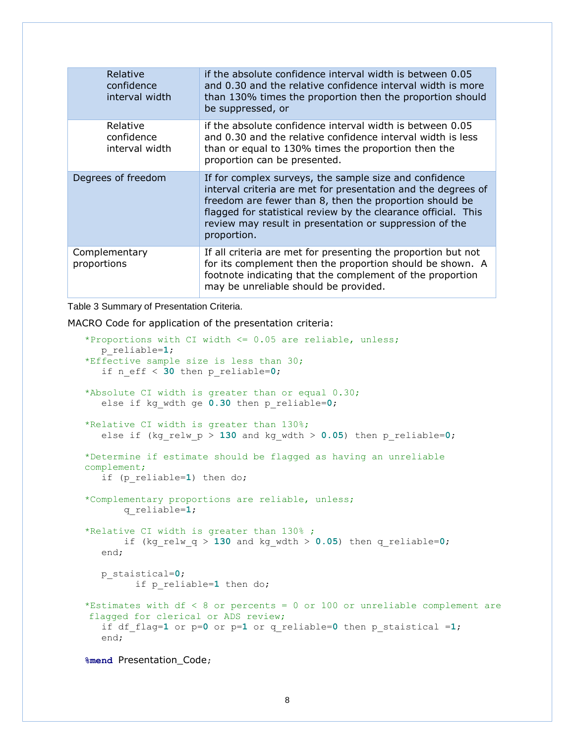| Relative<br>confidence<br>interval width | if the absolute confidence interval width is between 0.05<br>and 0.30 and the relative confidence interval width is more<br>than 130% times the proportion then the proportion should<br>be suppressed, or                                                                                                                     |
|------------------------------------------|--------------------------------------------------------------------------------------------------------------------------------------------------------------------------------------------------------------------------------------------------------------------------------------------------------------------------------|
| Relative<br>confidence<br>interval width | if the absolute confidence interval width is between 0.05<br>and 0.30 and the relative confidence interval width is less<br>than or equal to 130% times the proportion then the<br>proportion can be presented.                                                                                                                |
| Degrees of freedom                       | If for complex surveys, the sample size and confidence<br>interval criteria are met for presentation and the degrees of<br>freedom are fewer than 8, then the proportion should be<br>flagged for statistical review by the clearance official. This<br>review may result in presentation or suppression of the<br>proportion. |
| Complementary<br>proportions             | If all criteria are met for presenting the proportion but not<br>for its complement then the proportion should be shown. A<br>footnote indicating that the complement of the proportion<br>may be unreliable should be provided.                                                                                               |

<span id="page-7-0"></span>Table 3 Summary of Presentation Criteria.

MACRO Code for application of the presentation criteria:

```
 *Proportions with CI width <= 0.05 are reliable, unless;
  p_reliable=1;
 *Effective sample size is less than 30;
   if n_eff < 30 then p_reliable=0; 
 *Absolute CI width is greater than or equal 0.30;
   else if kg_wdth ge 0.30 then p_reliable=0;
 *Relative CI width is greater than 130%;
   else if (kg relw p > 130 and kg wdth > 0.05) then p reliable=0;
 *Determine if estimate should be flagged as having an unreliable 
complement;
   if (p_reliable=1) then do;
 *Complementary proportions are reliable, unless;
        q_reliable=1;
 *Relative CI width is greater than 130% ;
        if (kg_relw_q > 130 and kg_wdth > 0.05) then q_reliable=0;
  end;
  p_staistical=0;
          if p_reliable=1 then do;
 *Estimates with df < 8 or percents = 0 or 100 or unreliable complement are 
flagged for clerical or ADS review;
   if df_flag=1 or p=0 or p=1 or q_reliable=0 then p_staistical =1; 
    end;
```
 **%mend** Presentation\_Code;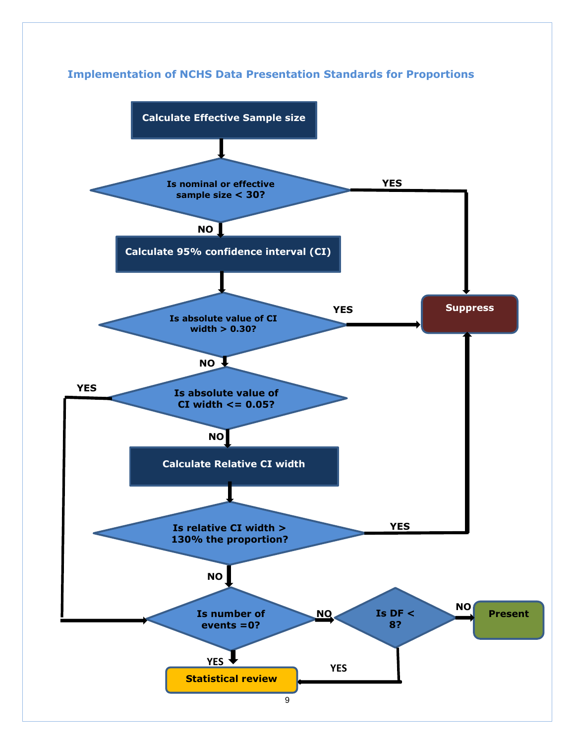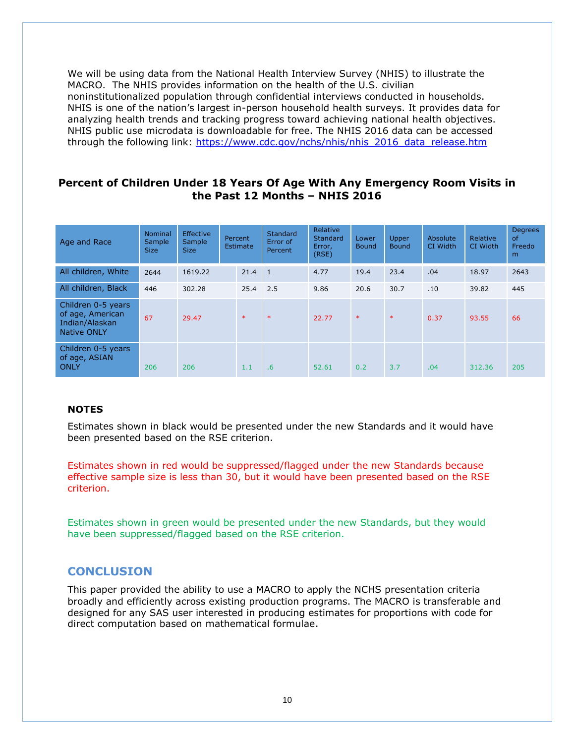We will be using data from the National Health Interview Survey (NHIS) to illustrate the MACRO. The NHIS provides information on the health of the U.S. civilian noninstitutionalized population through confidential interviews conducted in households. NHIS is one of the nation's largest in-person household health surveys. It provides data for analyzing health trends and tracking progress toward achieving national health objectives. NHIS public use microdata is downloadable for free. The NHIS 2016 data can be accessed through the following link: [https://www.cdc.gov/nchs/nhis/nhis\\_2016\\_data\\_release.htm](https://www.cdc.gov/nchs/nhis/nhis_2016_data_release.htm)

### **Percent of Children Under 18 Years Of Age With Any Emergency Room Visits in the Past 12 Months – NHIS 2016**

| Age and Race                                                                   | <b>Nominal</b><br>Sample<br><b>Size</b> | <b>Effective</b><br>Sample<br><b>Size</b> | Percent<br><b>Estimate</b> |        | <b>Standard</b><br>Error of<br>Percent | Relative<br>Standard<br>Error,<br>(RSE) | Lower<br><b>Bound</b> | Upper<br><b>Bound</b> | Absolute<br>CI Width | Relative<br>CI Width | <b>Degrees</b><br><b>of</b><br>Freedo<br>m |
|--------------------------------------------------------------------------------|-----------------------------------------|-------------------------------------------|----------------------------|--------|----------------------------------------|-----------------------------------------|-----------------------|-----------------------|----------------------|----------------------|--------------------------------------------|
| All children, White                                                            | 2644                                    | 1619.22                                   |                            | 21.4   | $\overline{1}$                         | 4.77                                    | 19.4                  | 23.4                  | .04                  | 18.97                | 2643                                       |
| All children, Black                                                            | 446                                     | 302.28                                    |                            | 25.4   | 2.5                                    | 9.86                                    | 20.6                  | 30.7                  | .10                  | 39.82                | 445                                        |
| Children 0-5 years<br>of age, American<br>Indian/Alaskan<br><b>Native ONLY</b> | 67                                      | 29.47                                     |                            | $\ast$ | $\ast$                                 | 22.77                                   | $\ast$                | $\ast$                | 0.37                 | 93.55                | 66                                         |
| Children 0-5 years<br>of age, ASIAN<br>ONLY                                    | 206                                     | 206                                       |                            | 1.1    | .6                                     | 52.61                                   | 0.2                   | 3.7                   | .04                  | 312.36               | 205                                        |

### **NOTES**

Estimates shown in black would be presented under the new Standards and it would have been presented based on the RSE criterion.

Estimates shown in red would be suppressed/flagged under the new Standards because effective sample size is less than 30, but it would have been presented based on the RSE criterion.

Estimates shown in green would be presented under the new Standards, but they would have been suppressed/flagged based on the RSE criterion.

# **CONCLUSION**

This paper provided the ability to use a MACRO to apply the NCHS presentation criteria broadly and efficiently across existing production programs. The MACRO is transferable and designed for any SAS user interested in producing estimates for proportions with code for direct computation based on mathematical formulae.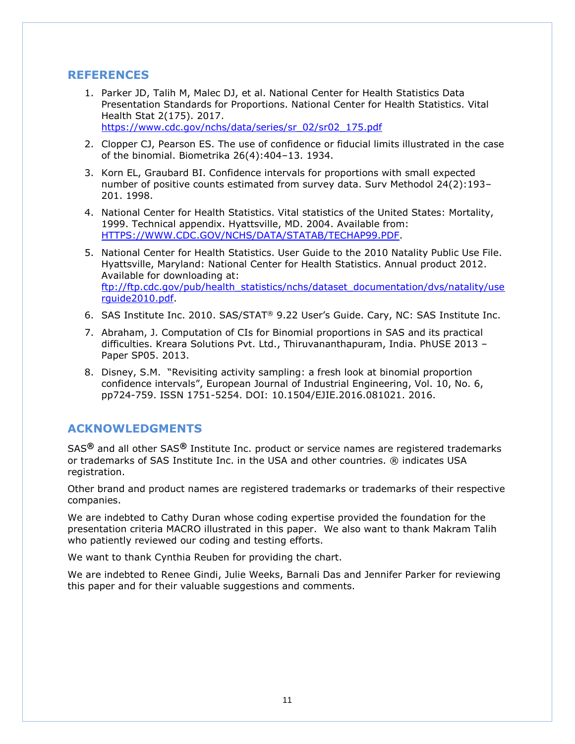### **REFERENCES**

- 1. Parker JD, Talih M, Malec DJ, et al. National Center for Health Statistics Data Presentation Standards for Proportions. National Center for Health Statistics. Vital Health Stat 2(175). 2017. [https://www.cdc.gov/nchs/data/series/sr\\_02/sr02\\_175.pdf](https://www.cdc.gov/nchs/data/series/sr_02/sr02_175.pdf)
- 2. Clopper CJ, Pearson ES. The use of confidence or fiducial limits illustrated in the case of the binomial. Biometrika 26(4):404–13. 1934.
- 3. Korn EL, Graubard BI. Confidence intervals for proportions with small expected number of positive counts estimated from survey data. Surv Methodol 24(2):193– 201. 1998.
- 4. National Center for Health Statistics. Vital statistics of the United States: Mortality, 1999. Technical appendix. Hyattsville, MD. 2004. Available from: [HTTPS://WWW.CDC.GOV/NCHS/DATA/STATAB/TECHAP99.PDF.](https://www.cdc.gov/nchs/data/statab/techap99.pdf)
- 5. National Center for Health Statistics. User Guide to the 2010 Natality Public Use File. Hyattsville, Maryland: National Center for Health Statistics. Annual product 2012. Available for downloading at: [ftp://ftp.cdc.gov/pub/health\\_statistics/nchs/dataset\\_documentation/dvs/natality/use](ftp://ftp.cdc.gov/pub/health_statistics/nchs/dataset_documentation/dvs/natality/userguide2010.pdf) [rguide2010.pdf.](ftp://ftp.cdc.gov/pub/health_statistics/nchs/dataset_documentation/dvs/natality/userguide2010.pdf)
- 6. SAS Institute Inc. 2010. SAS/STAT® 9.22 User's Guide. Cary, NC: SAS Institute Inc.
- 7. Abraham, J. Computation of CIs for Binomial proportions in SAS and its practical difficulties. Kreara Solutions Pvt. Ltd., Thiruvananthapuram, India. PhUSE 2013 – Paper SP05. 2013.
- 8. Disney, S.M. "Revisiting activity sampling: a fresh look at binomial proportion confidence intervals", European Journal of Industrial Engineering, Vol. 10, No. 6, pp724-759. ISSN 1751-5254. DOI: 10.1504/EJIE.2016.081021. 2016.

# **ACKNOWLEDGMENTS**

SAS**®** and all other SAS**®** Institute Inc. product or service names are registered trademarks or trademarks of SAS Institute Inc. in the USA and other countries. ® indicates USA registration.

Other brand and product names are registered trademarks or trademarks of their respective companies.

We are indebted to Cathy Duran whose coding expertise provided the foundation for the presentation criteria MACRO illustrated in this paper. We also want to thank Makram Talih who patiently reviewed our coding and testing efforts.

We want to thank Cynthia Reuben for providing the chart.

We are indebted to Renee Gindi, Julie Weeks, Barnali Das and Jennifer Parker for reviewing this paper and for their valuable suggestions and comments.